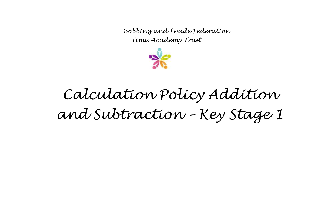

#### *Calculation Policy Addition and Subtraction – Key Stage 1*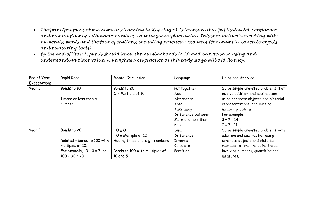- *The principal focus of mathematics teaching in Key Stage 1 is to ensure that pupils develop confidence and mental fluency with whole numbers, counting and place value. This should involve working with numerals, words and the four operations, including practical resources (for example, concrete objects and measuring tools).*
- *By the end of Year 2, pupils should know the number bonds to 20 and be precise in using and understanding place value. An emphasis on practice at this early stage will aid fluency.*

| End of Year  | Rapid Recall                    | <b>Mental Calculation</b>      | Language           | Using and Applying                   |
|--------------|---------------------------------|--------------------------------|--------------------|--------------------------------------|
| Expectations |                                 |                                |                    |                                      |
| Year 1       | Bonds to 10                     | Bonds to 20                    | Put together       | Solve simple one-step problems that  |
|              |                                 | $O +$ Multiple of 10           | Add                | involve addition and subtraction,    |
|              | 1 more or less than a           |                                | Altogether         | using concrete objects and pictorial |
|              | number                          |                                | Total              | representations, and missing         |
|              |                                 |                                | Take away          | number problems.                     |
|              |                                 |                                | Difference between | For example,                         |
|              |                                 |                                | More and less than | $3 + 2 = 14$                         |
|              |                                 |                                | Equal              | $7 = 2 - 11$                         |
| Year 2       | Bonds to 20                     | $TO + O$                       | Sum                | Solve simple one-step problems with  |
|              |                                 | TO $\pm$ Multiple of 10        | Difference         | addition and subtraction using       |
|              | Related ± bonds to 100 with     | Adding three one-digit numbers | <b>Inverse</b>     | concrete objects and pictorial       |
|              | multiples of 10.                |                                | Calculate          | representations, including those     |
|              | For example, $10 - 3 = 7$ , so, | Bonds to 100 with multiples of | Partition          | involving numbers, quantities and    |
|              | $100 - 30 = 70$                 | 10 and 5                       |                    | measures.                            |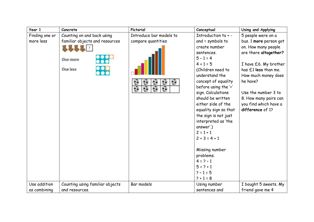| Year 1         | Concrete                        | Pictorial               | Conceptual            | Using and Applying     |
|----------------|---------------------------------|-------------------------|-----------------------|------------------------|
| Finding one or | Counting on and back using      | Introduce bar models to | Introduction to + -   | 5 people were on a     |
| more less      | familiar objects and resources  | compare quantities      | and = symbols to      | bus. 1 more person got |
|                |                                 |                         | create number         | on. How many people    |
|                |                                 |                         | sentences.            | are there altogether?  |
|                | One more                        |                         | $5 - 1 = 4$           |                        |
|                |                                 |                         | $4 + 1 = 5$           | I have £6. My brother  |
|                | One less                        |                         | (Children need to     | has £1 less than me.   |
|                |                                 |                         | understand the        | How much money does    |
|                |                                 |                         | concept of equality   | he have?               |
|                |                                 |                         | before using the '='  |                        |
|                |                                 |                         | sign. Calculations    | Use the number 3 to    |
|                |                                 |                         | should be written     | 8. How many pairs can  |
|                |                                 |                         | either side of the    | you find which have a  |
|                |                                 |                         | equality sign so that | difference of 1?       |
|                |                                 |                         | the sign is not just  |                        |
|                |                                 |                         | interpreted as 'the   |                        |
|                |                                 |                         | answer'.)             |                        |
|                |                                 |                         | $2 = 1 + 1$           |                        |
|                |                                 |                         | $2 + 3 = 4 + 1$       |                        |
|                |                                 |                         |                       |                        |
|                |                                 |                         | Missing number        |                        |
|                |                                 |                         | problems.             |                        |
|                |                                 |                         | $4 = 2 - 1$           |                        |
|                |                                 |                         | $5 = 2 + 1$           |                        |
|                |                                 |                         | $2 - 1 = 5$           |                        |
|                |                                 |                         | $? + 1 = 8$           |                        |
| Use addition   | Counting using familiar objects | Bar models              | Using number          | I bought 5 sweets. My  |
| as combining   | and resources.                  |                         | sentences and         | friend gave me 4       |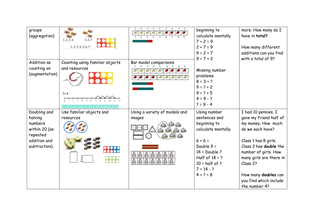| groups<br>(aggregation)                                                                          | 1, 2, 3<br>1, 2, 3, 4<br>1, 2, 3, 4, 5, 6, 7                |                                         | beginning to<br>calculate mentally<br>$7 + 2 = 9$<br>$2 + 7 = 9$<br>$9 = 2 + 7$                                                                                                                  | more. How many do I<br>have in total?<br>How many different<br>additions can you find                                                                                                                                                                                       |
|--------------------------------------------------------------------------------------------------|-------------------------------------------------------------|-----------------------------------------|--------------------------------------------------------------------------------------------------------------------------------------------------------------------------------------------------|-----------------------------------------------------------------------------------------------------------------------------------------------------------------------------------------------------------------------------------------------------------------------------|
| Addition as<br>counting on<br>(augmentation)                                                     | Counting using familiar objects<br>and resources<br>$7 + 4$ | Bar model comparisons                   | $9 = 7 + 2$<br>Missing number<br>problems<br>$8 = 3 + 2$<br>$9 = 2 + 2$<br>$9 = 2 + 5$<br>$4 = 9 - ?$<br>$? = 9 - 4$                                                                             | with a total of 9?                                                                                                                                                                                                                                                          |
| Doubling and<br>halving<br>numbers<br>within 20 (as<br>repeated<br>addition and<br>subtraction). | Use familiar objects and<br>resources<br>₩₩                 | Using a variety of models and<br>images | Using number<br>sentences and<br>beginning to<br>calculate mentally<br>$6 + 6 =$<br>Double $9 =$<br>$14 = Double$ ?<br>Half of $18 = ?$<br>$10 = \text{half of }$<br>$7 = 14 - ?$<br>$4 + 2 = 8$ | I had 10 pennies. I<br>gave my friend half of<br>my money. How much<br>do we each have?<br>Class 1 has 8 girls.<br>Class 2 has double the<br>number of girls. How<br>many girls are there in<br>Class 2?<br>How many doubles can<br>you find which include<br>the number 4? |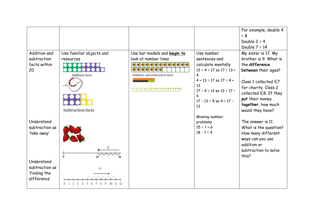|                |                          |                                     |                                    | For example, double 4 |
|----------------|--------------------------|-------------------------------------|------------------------------------|-----------------------|
|                |                          |                                     |                                    | $= 8$                 |
|                |                          |                                     |                                    | Double $2 = 4$        |
|                |                          |                                     |                                    | Double $7 = 14$       |
| Addition and   | Use familiar objects and | Use bar models and begin to         | Use number                         | My sister is 17. My   |
| subtraction    | resources                | look at number lines                | sentences and                      | brother is 9. What is |
| facts within   |                          | G                                   | calculate mentally                 | the difference        |
| 20             |                          |                                     | $13 = 4 = 17$ so $17 = 13 +$       | between their ages?   |
|                | <b>Addition facts</b>    | Addition and subtraction facts      | 4                                  |                       |
|                |                          |                                     | $4 + 13 = 17$ so $17 = 4 +$        | Class 1 collected £7  |
|                |                          | 7 8 9 10 11 12 13 14 15 16 17 18 19 | 13<br>$17 - 4 = 13$ so $13 = 17 -$ | for charity. Class 2  |
|                |                          |                                     | 4                                  | collected £8. If they |
|                |                          |                                     | $17 - 13 = 4$ so $4 = 17 -$        | put their money       |
|                |                          |                                     | 13                                 | together, how much    |
|                | <b>Subtraction</b> facts |                                     |                                    | would they have?      |
|                |                          |                                     | Missing number                     |                       |
| Understand     |                          |                                     | problems                           | The answer is 11.     |
| subtraction as |                          |                                     | $15 = 2 + 6$                       | What is the question? |
| 'take away'    |                          |                                     | $18 - 2 = 4$                       | How many different    |
|                |                          |                                     |                                    | ways can you use      |
|                |                          |                                     |                                    | addition or           |
|                |                          |                                     |                                    | subtraction to solve  |
|                | $\ddot{\mathbf{0}}$      |                                     |                                    | this?                 |
| Understand     |                          |                                     |                                    |                       |
| subtraction as |                          |                                     |                                    |                       |
| 'finding the   |                          |                                     |                                    |                       |
| difference'    |                          |                                     |                                    |                       |
|                |                          |                                     |                                    |                       |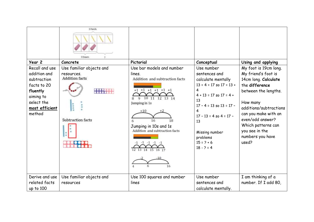|                                                                                                                                 | 5 Fencils<br>3 Erasers                                                                       |                                                                                                                                                                                                                                                    |                                                                                                                                                                                                                                                                     |                                                                                                                                                                                                                                                                       |
|---------------------------------------------------------------------------------------------------------------------------------|----------------------------------------------------------------------------------------------|----------------------------------------------------------------------------------------------------------------------------------------------------------------------------------------------------------------------------------------------------|---------------------------------------------------------------------------------------------------------------------------------------------------------------------------------------------------------------------------------------------------------------------|-----------------------------------------------------------------------------------------------------------------------------------------------------------------------------------------------------------------------------------------------------------------------|
| Year 2                                                                                                                          | Concrete                                                                                     | Pictorial                                                                                                                                                                                                                                          | Conceptual                                                                                                                                                                                                                                                          | Using and applying                                                                                                                                                                                                                                                    |
| Recall and use<br>addition and<br>subtraction<br>facts to 20<br>fluently<br>aiming to<br>select the<br>most efficient<br>method | Use familiar objects and<br>resources.<br><b>Addition facts</b><br>4114<br>Subtraction facts | Use bar models and number<br>lines.<br>Addition and subtraction facts<br>$+1$<br>10 11<br>12 13 14<br>Jumping in 1s<br>$+10$<br>16<br>Jumping in 10s and 1s<br>Addition and subtraction facts<br>$-1$ $-1$ $-1$ $-1$<br>12 13 14<br>15<br>16<br>16 | Use number<br>sentences and<br>calculate mentally<br>$13 = 4 = 17$ so $17 = 13 +$<br>4<br>$4 + 13 = 17$ so $17 = 4 +$<br>13<br>$17 - 4 = 13$ so $13 = 17 -$<br>4<br>$17 - 13 = 4$ so $4 = 17 -$<br>13<br>Missing number<br>problems<br>$15 = 2 + 6$<br>$18 - 2 = 4$ | My foot is 19cm long.<br>My friend's foot is<br>14cm long. Calculate<br>the difference<br>between the lengths.<br>How many<br>additions/subtractions<br>can you make with an<br>even/odd answer?<br>Which patterns can<br>you see in the<br>numbers you have<br>used? |
| Derive and use                                                                                                                  | Use familiar objects and                                                                     | Use 100 squares and number                                                                                                                                                                                                                         | Use number                                                                                                                                                                                                                                                          | I am thinking of a                                                                                                                                                                                                                                                    |
| related facts                                                                                                                   | resources                                                                                    | lines                                                                                                                                                                                                                                              | sentences and                                                                                                                                                                                                                                                       | number. If I add 80,                                                                                                                                                                                                                                                  |
| up to 100                                                                                                                       |                                                                                              |                                                                                                                                                                                                                                                    | calculate mentally.                                                                                                                                                                                                                                                 |                                                                                                                                                                                                                                                                       |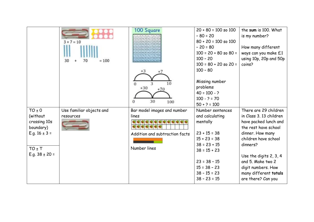|                                       | $3 + 7 = 10$<br>30<br>$= 100$<br>70 | 100 Square<br>E1 30 33 34 35 36 37 30 39 4<br>42 43 44 45 46 47 48 4<br>$+3$<br>3<br>10<br>0<br>$+30$<br>30<br>100<br>0 | $20 + 80 = 100$ so $100$<br>$-80 = 20$<br>$80 + 20 = 100$ so $100$<br>$-20 = 80$<br>$100 = 20 + 80$ so $80 =$<br>$100 - 20$<br>$100 = 80 + 20$ so $20 =$<br>$100 - 80$<br>Missing number<br>problems<br>$40 = 100 - ?$<br>$100 - ? = 70$<br>$50 + ? = 100$ | the sum is 100. What<br>is my number?<br>How many different<br>ways can you make £1<br>using 10p, 20p and 50p<br>coins? |
|---------------------------------------|-------------------------------------|-------------------------------------------------------------------------------------------------------------------------|------------------------------------------------------------------------------------------------------------------------------------------------------------------------------------------------------------------------------------------------------------|-------------------------------------------------------------------------------------------------------------------------|
| $TO \pm 0$                            | Use familiar objects and            | Bar model images and number                                                                                             | Number sentences                                                                                                                                                                                                                                           | There are 29 children                                                                                                   |
| (without<br>crossing 10s<br>boundary) | resources                           | lines                                                                                                                   | and calculating<br>mentally                                                                                                                                                                                                                                | in Class 3. 13 children<br>have packed lunch and<br>the rest have school                                                |
| E.g. $16 \pm 3 =$                     |                                     | Addition and subtraction facts                                                                                          | $23 + 15 = 38$                                                                                                                                                                                                                                             | dinner. How many                                                                                                        |
|                                       |                                     |                                                                                                                         | $15 + 23 = 38$                                                                                                                                                                                                                                             | children have school                                                                                                    |
| $TO + T$                              |                                     | Number lines                                                                                                            | $38 = 23 + 15$                                                                                                                                                                                                                                             | dinners?                                                                                                                |
| E.g. $38 \pm 20 =$                    |                                     |                                                                                                                         | $38 = 15 + 23$                                                                                                                                                                                                                                             |                                                                                                                         |
|                                       |                                     |                                                                                                                         | $23 = 38 - 15$<br>$15 = 38 - 23$<br>$38 - 15 = 23$                                                                                                                                                                                                         | Use the digits 2, 3, 4<br>and 5. Make two 2<br>digit numbers. How<br>many different totals                              |
|                                       |                                     |                                                                                                                         | $38 - 23 = 15$                                                                                                                                                                                                                                             | are there? Can you                                                                                                      |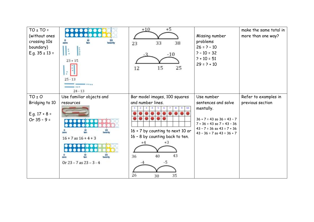| $TO \pm TO =$<br>(without ones<br>crossing 10s<br>boundary)<br>E.g. $35 \pm 13 =$ | 0000000<br>000000<br>ten<br>twenty<br>zero<br>ŀ<br>$23 + 15$<br>$25 - 13$<br>$24 - 13$ | $+5$<br>$+10$<br>33<br>38<br>23<br>$-10$<br>25<br>15<br>12                                                | Missing number<br>problems<br>$26 = 2 - 10$<br>$? - 10 = 32$<br>$? + 10 = 51$<br>$29 = ? + 10$                                                    | make the same total in<br>more than one way? |
|-----------------------------------------------------------------------------------|----------------------------------------------------------------------------------------|-----------------------------------------------------------------------------------------------------------|---------------------------------------------------------------------------------------------------------------------------------------------------|----------------------------------------------|
| $TO + O$                                                                          | Use familiar objects and                                                               | Bar model images, 100 squares                                                                             | Use number                                                                                                                                        | Refer to examples in                         |
| Bridging to 10                                                                    | resources                                                                              | and number lines.                                                                                         | sentences and solve                                                                                                                               | previous section                             |
| E.g. $17 + 8 =$<br>Or $35 - 9 =$                                                  | 20<br>$16 + 7$ as $16 + 4 + 3$<br><br>Or $23 - 7$ as $23 - 3 - 4$                      | $16 + 7$ by counting to next 10 or<br>16 - 8 by counting back to ten.<br>43<br>36<br>40<br>26<br>35<br>30 | mentally.<br>$36 + 7 = 43$ so $36 = 43 - 7$<br>$7 + 36 = 43$ so $7 = 43 - 36$<br>$43 - 7 = 36$ so $43 = 7 + 36$<br>$43 - 36 = 7$ so $43 = 36 + 7$ |                                              |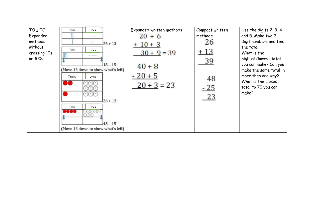| $TO + TO$<br>Expanded<br>methods<br>without<br>crossing 10s<br>or 100s | Tens<br>Ones<br><b>USS ENG</b><br>$-1 - 1$<br>Tens<br>Ones<br>-------<br>(Move 15 down to show what's left)<br>Tens<br>Ones | $26 + 13$<br>$18 - 15$<br>$126 + 13$ | Expanded written methods<br>$20 + 6$<br>$+10+3$<br>$30 + 9 = 39$<br>$40 + 8$<br>$-20+5$<br>$20 + 3 = 23$ | Compact written<br>methods<br>26<br>$+13$<br>39<br>48<br>$-25$<br>23 | Use the digits 2, 3, 4<br>and 5. Make two 2<br>digit numbers and find<br>the total.<br>What is the<br>highest/lowest total<br>you can make? Can you<br>make the same total in<br>more than one way?<br>What is the closest<br>total to 70 you can<br>make? |
|------------------------------------------------------------------------|-----------------------------------------------------------------------------------------------------------------------------|--------------------------------------|----------------------------------------------------------------------------------------------------------|----------------------------------------------------------------------|------------------------------------------------------------------------------------------------------------------------------------------------------------------------------------------------------------------------------------------------------------|
|                                                                        | Tens<br>Ones<br><b>MAGE OF</b><br>(Move 15 down to show what's left)                                                        | $48 - 15$                            |                                                                                                          |                                                                      |                                                                                                                                                                                                                                                            |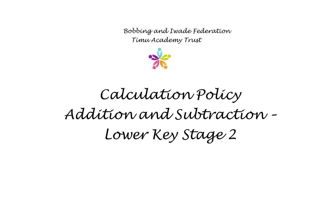

## *Calculation Policy Addition and Subtraction – Lower Key Stage 2*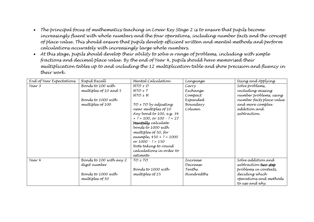- *The principal focus of mathematics teaching in Lower Key Stage 2 is to ensure that pupils become increasingly fluent with whole numbers and the four operations, including number facts and the concept of place value. This should ensure that pupils develop efficient written and mental methods and perform calculations accurately with increasingly large whole numbers.*
- *At this stage, pupils should develop their ability to solve a range of problems, including with simple fractions and decimal place value. By the end of Year 4, pupils should have memorised their multiplication tables up to and including the 12 multiplication table and show precision and fluency in their work.*

| End of Year Expectations | Rapíd Recall                                                                         | Mental Calculation                                                                                                                                                                                                                                                                                                                     | Language                                                       | Using and Applying                                                                                                                             |
|--------------------------|--------------------------------------------------------------------------------------|----------------------------------------------------------------------------------------------------------------------------------------------------------------------------------------------------------------------------------------------------------------------------------------------------------------------------------------|----------------------------------------------------------------|------------------------------------------------------------------------------------------------------------------------------------------------|
| Year 3                   | Bonds to 100 with<br>multiples of 10 and 5<br>Bonds to 1000 with<br>multiples of 100 | $HTO \pm O$<br>$HTO \pm T$<br>HTO H<br>TO ± TO by adjusting<br>near multiples of 10<br>Any bond to 100, e.g. 34<br>+ ? = 100, or 100 $\cdot$ ? = 27<br><b>Mentally</b> calculate<br>bonds to 1000 with<br>multiples of 50, for<br>example, $450 + ? = 1000$<br>or $1000 - ? = 150$<br>Note taking to round<br>calculations in order to | Carry<br>Exchange<br>Compact<br>Expanded<br>Boundary<br>Column | Solve problems,<br>including missing<br>number problems, using<br>number facts place value<br>and more complex<br>addítíon and<br>subtraction. |
|                          |                                                                                      | estimate                                                                                                                                                                                                                                                                                                                               |                                                                |                                                                                                                                                |
| Year 4                   | Bonds to 100 with any 2<br>dígít number<br>Bonds to 1000 with<br>multiples of 50     | $TO \pm TO$<br>Bonds to 1000 with<br>multiples of 25                                                                                                                                                                                                                                                                                   | Increase<br>Decrease<br>Tenths<br>Hundredths                   | Solve addítíon and<br>subtraction two-step<br>problems in contexts,<br>decídíng whích<br>operations and methods<br>to use and why.             |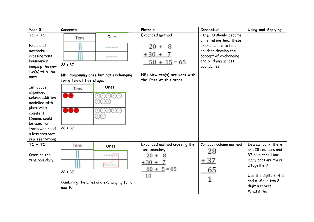| Year 3                                                                                                                                                                                                                                                                                         | Concrete                                                           |                                                                      | Pictorial                                                                                                              | Conceptual                                                                                                                                                    | Using and Applying                                                                                                                                                                     |
|------------------------------------------------------------------------------------------------------------------------------------------------------------------------------------------------------------------------------------------------------------------------------------------------|--------------------------------------------------------------------|----------------------------------------------------------------------|------------------------------------------------------------------------------------------------------------------------|---------------------------------------------------------------------------------------------------------------------------------------------------------------|----------------------------------------------------------------------------------------------------------------------------------------------------------------------------------------|
| $TO + TO$<br>Expanded<br>methods:<br>crossing tens<br>boundaries<br>keeping the new<br>ten(s) with the<br>ones<br>Introduce<br>expanded<br>column addition<br>modelled with<br>place value<br>counters<br>(Dienes could<br>be used for<br>those who need<br>a less abstract<br>representation) | Tens<br>$28 + 37$<br>for a ten at this stage.<br>Tens<br>$28 + 37$ | Ones<br><br>*******<br>NB: Combining ones but not exchanging<br>Ones | Expanded method<br>$20 +$<br>8<br>$+30 +$<br>$50 + 15 = 65$<br>NB: New ten(s) are kept with<br>the Ones at this stage. | TU ± TU should become<br>a mental method; these<br>examples are to help<br>children develop the<br>concept of exchanging<br>and bridging across<br>boundaries |                                                                                                                                                                                        |
| $TO + TO$<br>Crossing the<br>tens boundary                                                                                                                                                                                                                                                     | Tens<br>$28 + 37$<br>new 10.                                       | Ones<br><b>TARAS</b><br><br>Combining the Ones and exchanging for a  | Expanded method crossing the<br>tens boundary<br>$20 +$<br>-8<br>$+30 + 7$<br>$60 + 5 = 65$<br>10                      | Compact column method<br>28<br>$+37$<br>65<br>1                                                                                                               | In a car park, there<br>are 28 red cars and<br>37 blue cars. How<br>many cars are there<br>altogether?<br>Use the digits 3, 4, 5<br>and 6. Make two 2-<br>digit numbers.<br>What's the |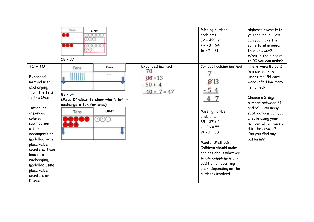|                                                                                                                                                                                                                                                                                                                   | Tens<br>Ones<br><b>TOR</b><br>$28 + 37$                                                                                 |                                                                  | Missing number<br>problems<br>$32 + 49 = ?$<br>$? + 73 = 94$<br>$16 + 2 = 81$                                                                                                                                                                                                                                  | highest/lowest total<br>you can make. How<br>can you make the<br>same total in more<br>than one way?<br>What is the closest<br>to 90 you can make?                                                                                                                                      |
|-------------------------------------------------------------------------------------------------------------------------------------------------------------------------------------------------------------------------------------------------------------------------------------------------------------------|-------------------------------------------------------------------------------------------------------------------------|------------------------------------------------------------------|----------------------------------------------------------------------------------------------------------------------------------------------------------------------------------------------------------------------------------------------------------------------------------------------------------------|-----------------------------------------------------------------------------------------------------------------------------------------------------------------------------------------------------------------------------------------------------------------------------------------|
| $TO - TO$<br>Expanded<br>method with<br>exchanging<br>from the tens<br>to the Ones<br><b>Introduce</b><br>expanded<br>column<br>subtraction<br>with no<br>decomposition,<br>modelled with<br>place value<br>counters. Then<br>lead into<br>exchanging,<br>modelled using<br>place value<br>counters or<br>Dienes. | Ones<br>Tens<br>$n + n$<br>$83 - 54$<br>(Move 54ndown to show what's left -<br>exchange a ten for ones)<br>Ones<br>Tens | Expanded method<br>70<br>$80 + 13$<br>$-50 + 4$<br>$40 + 7 = 47$ | Compact column method<br>$g_{\parallel 3}$<br>$-54$<br>Missing number<br>problems<br>$85 - 37 = ?$<br>$2 - 26 = 55$<br>$91 - 2 = 38$<br><b>Mental Methods:</b><br>Children should make<br>choices about whether<br>to use complementary<br>addition or counting<br>back, depending on the<br>numbers involved. | There were 83 cars<br>in a car park. At<br>lunchtime, 54 cars<br>were left. How many<br>remained?<br>Choose a 2-digit<br>number between 81<br>and 99. How many<br>subtractions can you<br>create using your<br>number which have a<br>4 in the answer?<br>Can you find any<br>patterns? |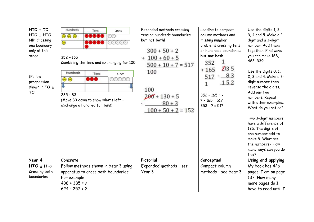| $HTO \pm TO$<br>HTO ± HTO<br>NB: Crossing<br>one boundary<br>only at this<br>stage.<br>(Follow<br>progression<br>shown in TO $\pm$<br><b>TO</b> | Hundreds<br>Tens<br><b></b><br>$\circledcirc$<br>$\circledcirc$<br>,,,,,<br>$352 + 165$<br>Combining the tens and exchanging for 100<br>Hundreds<br>Tens<br>600<br>$\circledcirc$<br>$235 - 83$<br>(Move 83 down to show what's left -<br>exchange a hundred for tens) | Ones<br>66<br>66666<br>Ones<br>00000 | Expanded methods crossing<br>tens or hundreds boundaries<br>but not both!<br>$300 + 50 + 2$<br>$+100+60+5$<br>$500 + 10 + 7 = 517$<br>100<br>100<br>$200 + 130 + 5$<br>$80 + 3$<br>$100 + 50 + 2 = 152$ | Leading to compact<br>column methods and<br>missing number<br>problems crossing tens<br>or hundreds boundaries<br>but not both.<br>352<br>2135<br>$+165$<br>$-83$<br>517<br>152<br>$352 - 165 = ?$<br>$? - 165 = 517$<br>$352 - 2 = 517$ | Use the digits 1, 2,<br>3, 4 and 5. Make a 2-<br>digit and a 3-digit<br>number. Add them<br>together. Find ways<br>you can make 168,<br>483, 339.<br>Use the digits 0, 1,<br>2, 3 and 4. Make a 3-<br>digit number then<br>reverse the digits.<br>Add our two<br>numbers. Repeat<br>with other examples.<br>What do you notice?<br>Two 3-digit numbers<br>have a difference of<br>125. The digits of<br>one number add to<br>make 8. What are<br>the numbers? How<br>many ways can you do<br>this? |
|-------------------------------------------------------------------------------------------------------------------------------------------------|------------------------------------------------------------------------------------------------------------------------------------------------------------------------------------------------------------------------------------------------------------------------|--------------------------------------|---------------------------------------------------------------------------------------------------------------------------------------------------------------------------------------------------------|------------------------------------------------------------------------------------------------------------------------------------------------------------------------------------------------------------------------------------------|----------------------------------------------------------------------------------------------------------------------------------------------------------------------------------------------------------------------------------------------------------------------------------------------------------------------------------------------------------------------------------------------------------------------------------------------------------------------------------------------------|
| Year 4                                                                                                                                          | Concrete                                                                                                                                                                                                                                                               |                                      | Pictorial                                                                                                                                                                                               | Conceptual                                                                                                                                                                                                                               | Using and applying                                                                                                                                                                                                                                                                                                                                                                                                                                                                                 |
| $HTO + HTO$<br>Crossing both<br>boundaries                                                                                                      | Follow methods shown in Year 3 using<br>apparatus to cross both boundaries.<br>For example:<br>$438 + 385 = ?$<br>$624 - 257 = ?$                                                                                                                                      |                                      | Expanded methods - see<br>Year 3                                                                                                                                                                        | Compact column<br>methods - see Year 3                                                                                                                                                                                                   | My book has 426<br>pages. I am on page<br>137. How many<br>more pages do I<br>have to read until I                                                                                                                                                                                                                                                                                                                                                                                                 |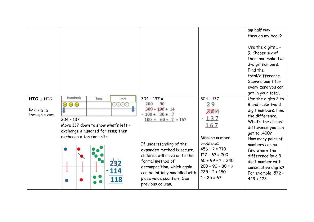|                                           |                                                                                                                                                                           |                                                                                                                                                                                                                                                                                                                         |                                                                                                                                                                                                   | am half way<br>through my book?<br>Use the digits 1 -<br>9. Choose six of<br>them and make two<br>3-digit numbers.<br>Find the<br>total/difference.<br>Score a point for<br>every zero you can<br>get in your total.                                                                                           |
|-------------------------------------------|---------------------------------------------------------------------------------------------------------------------------------------------------------------------------|-------------------------------------------------------------------------------------------------------------------------------------------------------------------------------------------------------------------------------------------------------------------------------------------------------------------------|---------------------------------------------------------------------------------------------------------------------------------------------------------------------------------------------------|----------------------------------------------------------------------------------------------------------------------------------------------------------------------------------------------------------------------------------------------------------------------------------------------------------------|
| HTO ± HTO<br>Exchanging<br>through a zero | Hundreds<br>Tens<br>Ones<br>$\circledcirc$<br>oooc<br>$304 - 137$<br>Move 137 down to show what's left -<br>exchange a hundred for tens; then<br>exchange a ten for units | $304 - 137 =$<br>200<br>90<br>$300 + 100 + 14$<br>$-100 + 30 + 7$<br>$100 + 60 + 7 = 167$<br>If understanding of the<br>expanded method is secure,<br>children will move on to the<br>formal method of<br>decomposition, which again<br>can be initially modelled with<br>place value counters. See<br>previous column. | $304 - 137$<br>29<br>ZWH<br>$-137$<br>167<br>Missing number<br>problems:<br>$456 + 2 = 710$<br>$127 + 62 = 200$<br>$60 + 99 + ? = 340$<br>$200 - 90 - 80 = ?$<br>$225 - 2 = 150$<br>$? - 25 = 67$ | Use the digits 2 to<br>8 and make two 3-<br>digit numbers. Find<br>the difference.<br>What's the closest<br>difference you can<br>get to  400?<br>How many pairs of<br>numbers can ou<br>find where the<br>difference is: a 3<br>digit number with<br>consecutive digits?<br>For example, 572 -<br>$449 = 123$ |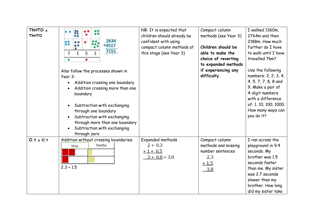| ThHTO $\pm$<br><b>ThHTO</b> | ះ<br><br>2634<br>o 6<br>+4517<br>7151<br>5<br>1<br>1<br>7<br>Also follow the processes shown in<br>Year 3:<br>Addition crossing one boundary<br>Addition crossing more than one<br>boundary<br>Subtraction with exchanging<br>through one boundary<br>Subtraction with exchanging<br>through more than one boundary<br>Subtraction with exchanging<br>through zero | NB: It is expected that<br>children should already be<br>confident with using<br>compact column methods at<br>this stage (see Year 3) | Compact column<br>methods (see Year 3)<br>Children should be<br>able to make the<br>choice of reverting<br>to expanded methods<br>if experiencing any<br>difficulty. | I walked 1360m,<br>2764m and then<br>2188m. How much<br>further do I have<br>to walk until I have<br>travelled 7km?<br>Use the following<br>numbers: 2, 2, 3, 4,<br>4, 5, 7, 7, 8, 8 and<br>9. Make a pair of<br>4-digit numbers<br>with a difference<br>of: 1, 10, 100, 1000.<br>How many ways can<br>you do it? |
|-----------------------------|--------------------------------------------------------------------------------------------------------------------------------------------------------------------------------------------------------------------------------------------------------------------------------------------------------------------------------------------------------------------|---------------------------------------------------------------------------------------------------------------------------------------|----------------------------------------------------------------------------------------------------------------------------------------------------------------------|-------------------------------------------------------------------------------------------------------------------------------------------------------------------------------------------------------------------------------------------------------------------------------------------------------------------|
| $0.1 \pm 0.1$               | Addition without crossing boundaries:<br>Tenths<br>Ones<br>$2.3 + 1.5$                                                                                                                                                                                                                                                                                             | Expanded methods<br>$2 + 0.3$<br>$+1+0.5$<br>$3 + 0.8 = 3.8$                                                                          | Compact column<br>methods and missing<br>number sentences<br>2.3<br>$+1.5$<br>3.8                                                                                    | I ran across the<br>playground in 9.4<br>seconds. My<br>brother was 1.5<br>seconds faster<br>than me. My sister<br>was 2.7 seconds<br>slower than my<br>brother. How long<br>did my sister take                                                                                                                   |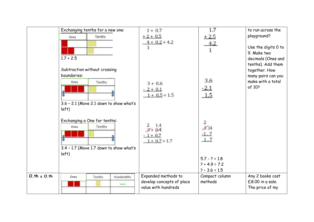|                 | Exchanging tenths for a new one:          | $1 + 0.7$                 | 1.7                                | to run across the                  |
|-----------------|-------------------------------------------|---------------------------|------------------------------------|------------------------------------|
|                 | Tenths<br>Ones                            | $+2+0.5$                  | $+2.5$                             | playground?                        |
|                 |                                           | $4 + 0.2 = 4.2$           | 4.2                                |                                    |
|                 |                                           |                           | $\mathbf{1}$                       | Use the digits 0 to<br>9. Make two |
|                 | $1.7 + 2.5$                               |                           |                                    | decimals (Ones and                 |
|                 |                                           |                           |                                    | tenths). Add them                  |
|                 | Subtraction without crossing              |                           |                                    | together. How                      |
|                 | boundaries:                               |                           |                                    | many pairs can you                 |
|                 | Tenths<br>Ones                            | $3 + 0.6$                 | 3.6                                | make with a total                  |
|                 |                                           | $-2 + 0.1$                | $-2.1$                             | of 10?                             |
|                 |                                           | $1 + 0.5 = 1.5$           | 1.5                                |                                    |
|                 | $3.6$ - 2.1 (Move 2.1 down to show what's |                           |                                    |                                    |
|                 | left)                                     |                           |                                    |                                    |
|                 |                                           |                           |                                    |                                    |
|                 | Exchanging a One for tenths:              |                           | 2                                  |                                    |
|                 | Tenths<br>Ones                            | 1.4<br>$3 + 0.4$          | 3.14                               |                                    |
|                 |                                           | $1 + 0.7$                 | $-1.7$                             |                                    |
|                 |                                           | $1 + 0.7 = 1.7$           | 1.7                                |                                    |
|                 | 3.4 - 1.7 (Move 1.7 down to show what's   |                           |                                    |                                    |
|                 | left)                                     |                           |                                    |                                    |
|                 |                                           |                           | $5.7 - ? = 1.8$                    |                                    |
|                 |                                           |                           | $? + 4.9 = 7.2$<br>$? - 3.6 = 1.5$ |                                    |
| $0.th \pm 0.th$ | Hundredths<br>Ones<br>Tenths              | Expanded methods to       | Compact column                     | Any 2 books cost                   |
|                 |                                           | develop concepts of place | methods                            | £8.00 in a sale.                   |
|                 | -                                         | value with hundreds       |                                    | The price of my                    |
|                 |                                           |                           |                                    |                                    |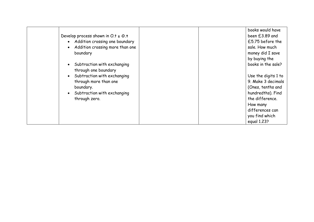|                                        | books would have    |
|----------------------------------------|---------------------|
| Develop process shown in $O.t \pm O.t$ | been £3.89 and      |
| • Addition crossing one boundary       | £5.75 before the    |
| Addition crossing more than one        | sale. How much      |
| boundary                               | money did I save    |
|                                        | by buying the       |
| • Subtraction with exchanging          | books in the sale?  |
| through one boundary                   |                     |
| Subtraction with exchanging            | Use the digits 1 to |
| through more than one                  | 9. Make 3 decimals  |
| boundary.                              | (Ones, tenths and   |
| Subtraction with exchanging            | hundredths). Find   |
| through zero.                          | the difference.     |
|                                        | How many            |
|                                        | differences can     |
|                                        | you find which      |
|                                        | equal 1.23?         |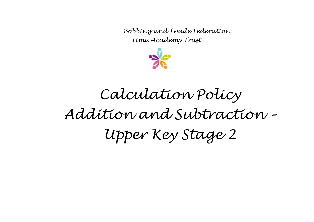

# *Calculation Policy Addition and Subtraction – Upper Key Stage 2*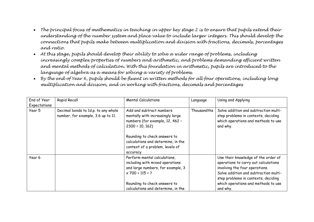- *The principal focus of mathematics in teaching in upper key stage 2 is to ensure that pupils extend their understanding of the number system and place value to include larger integers. This should develop the connections that pupils make between multiplication and division with fractions, decimals, percentages and ratio.*
- *At this stage, pupils should develop their ability to solve a wider range of problems, including increasingly complex properties of numbers and arithmetic, and problems demanding efficient written and mental methods of calculation. With this foundation in arithmetic, pupils are introduced to the language of algebra as a means for solving a variety of problems.*
- *By the end of Year 6, pupils should be fluent in written methods for all four operations, including long multiplication and division, and in working with fractions, decimals and percentages*

| End of Year  | Rapid Recall                                                              | <b>Mental Calculations</b>                                                                                                                                                                | Language    | Using and Applying                                                                                                                                                                            |
|--------------|---------------------------------------------------------------------------|-------------------------------------------------------------------------------------------------------------------------------------------------------------------------------------------|-------------|-----------------------------------------------------------------------------------------------------------------------------------------------------------------------------------------------|
| Expectations |                                                                           |                                                                                                                                                                                           |             |                                                                                                                                                                                               |
| Year 5       | Decimal bonds to 1d.p. to any whole<br>number, for example, 3.6 up to 11. | Add and subtract numbers<br>mentally with increasingly large<br>numbers (for example, 12, 462 -<br>$2300 = 10, 162$<br>Rounding to check answers to<br>calculations and determine, in the | Thousandths | Solve addition and subtraction multi-<br>step problems in contexts, deciding<br>which operations and methods to use<br>and why.                                                               |
|              |                                                                           | context of a problem, levels of<br>accuracy.                                                                                                                                              |             |                                                                                                                                                                                               |
| Year 6       |                                                                           | Perform mental calculations,<br>including with mixed operations<br>and large numbers, for example, 3<br>$x 700 + 115 = ?$                                                                 |             | Use their knowledge of the order of<br>operations to carry out calculations<br>involving the four operations.<br>Solve addition and subtraction multi-<br>step problems in contexts, deciding |
|              |                                                                           | Rounding to check answers to                                                                                                                                                              |             | which operations and methods to use                                                                                                                                                           |
|              |                                                                           | calculations and determine, in the                                                                                                                                                        |             | and why.                                                                                                                                                                                      |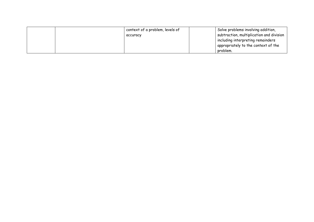|  | context of a problem, levels of | Solve problems involving addition,       |
|--|---------------------------------|------------------------------------------|
|  | accuracy                        | subtraction, multiplication and division |
|  |                                 | including interpreting remainders        |
|  |                                 | appropriately to the context of the      |
|  |                                 | problem.                                 |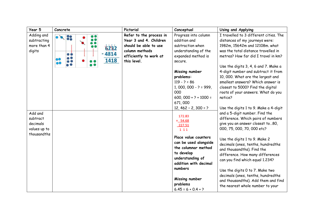| Year 5                                                         | Concrete                                              | Pictorial                                                                                                                             | Conceptual                                                                                                                                                                                                                                                       | Using and Applying                                                                                                                                                                                                                                                                                                                                                                                                                                                               |
|----------------------------------------------------------------|-------------------------------------------------------|---------------------------------------------------------------------------------------------------------------------------------------|------------------------------------------------------------------------------------------------------------------------------------------------------------------------------------------------------------------------------------------------------------------|----------------------------------------------------------------------------------------------------------------------------------------------------------------------------------------------------------------------------------------------------------------------------------------------------------------------------------------------------------------------------------------------------------------------------------------------------------------------------------|
| Adding and<br>subtracting<br>more than 4<br>digits             | $\sim 20$<br>6232<br>4814<br><b>. .</b><br>1418<br>oС | Refer to the process in<br>Year 3 and 4. Children<br>should be able to use<br>column methods<br>efficiently to work at<br>this level. | Progress into column<br>addition and<br>subtraction when<br>understanding of the<br>expanded method is<br>secure.<br>Missing number<br>problems:<br>$119 - 2 = 86$<br>$1,000,000 - ? = 999,$<br>000<br>$600,000 + ? + 1000 =$<br>671,000<br>$12,462 - 2,300 = ?$ | I travelled to 3 different cities. The<br>distances of my journeys were:<br>1982m, 15642m and 12108m. what<br>was the total distance travelled in<br>metres? How far did I travel in km?<br>Use the digits 3, 4, 6 and 7. Make a<br>4-digit number and subtract it from<br>10, 000. What are the largest and<br>smallest answers? Which answer is<br>closest to 5000? Find the digital<br>roots of your answers. What do you<br>notice?<br>Use the digits 1 to 9. Make a 4-digit |
| Add and<br>subtract<br>decimals<br>values up to<br>thousandths |                                                       |                                                                                                                                       | 172.83<br>$+ 54.68$<br>227.51<br>1 1 1<br>Place value counters<br>can be used alongside<br>the columnar method<br>to develop<br>understanding of<br>addition with decimal<br>numbers<br>Missing number<br>problems<br>$6.45 = 6 + 0.4 + ?$                       | and a 5-digit number. Find the<br>difference. Which pairs of numbers<br>give you an answer closest to 80,<br>000, 75, 000, 70, 000 etc?<br>Use the digits 1 to 9. Make 2<br>decimals (ones, tenths, hundredths<br>and thousandths). Find the<br>difference. How many differences<br>can you find which equal 1.234?<br>Use the digits 0 to 7. Make two<br>decimals (ones, tenths, hundredths<br>and thousandths). Add them and find<br>the nearest whole number to your          |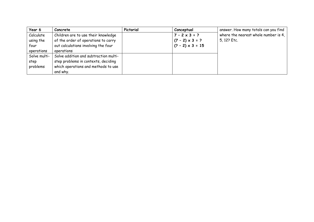| Year 6       | Concrete                              | Pictorial | Conceptual               | answer. How many totals can you find |
|--------------|---------------------------------------|-----------|--------------------------|--------------------------------------|
| Calculate    | Children are to use their knowledge   |           | $7 - 2 \times 3 = ?$     | where the nearest whole number is 4, |
| using the    | of the order of operations to carry   |           | $(7 - 2) \times 3 = ?$   | 5, 12? Etc.                          |
| four         | out calculations involving the four   |           | $ (? - 2) \times 3 = 15$ |                                      |
| operations   | operations                            |           |                          |                                      |
| Solve multi- | Solve addition and subtraction multi- |           |                          |                                      |
| step         | step problems in contexts, deciding   |           |                          |                                      |
| problems     | which operations and methods to use   |           |                          |                                      |
|              | and why.                              |           |                          |                                      |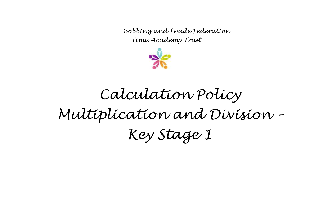

## *Calculation Policy Multiplication and Division – Key Stage 1*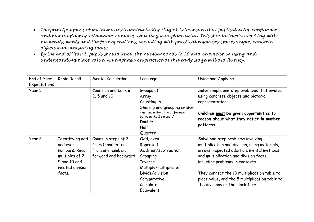- *The principal focus of mathematics teaching in Key Stage 1 is to ensure that pupils develop confidence and mental fluency with whole numbers, counting and place value. This should involve working with numerals, words and the four operations, including with practical resources (for example, concrete objects and measuring tools).*
- *By the end of Year 2, pupils should know the number bonds to 20 and be precise in using and understanding place value. An emphasis on practice at this early stage will aid fluency.*

| End of Year<br>Expectations | Rapid Recall     | <b>Mental Calculation</b> | Language                                                                                                                 | Using and Applying                                                                              |
|-----------------------------|------------------|---------------------------|--------------------------------------------------------------------------------------------------------------------------|-------------------------------------------------------------------------------------------------|
| Year 1                      |                  | Count on and back in      | Groups of                                                                                                                | Solve simple one-step problems that involve                                                     |
|                             |                  | 2, 5 and 10               | Array                                                                                                                    | using concrete objects and pictorial                                                            |
|                             |                  |                           | Counting in                                                                                                              | representations                                                                                 |
|                             |                  |                           | Sharing and grouping (children<br>must understand the difference<br>between the 2 concepts)<br>Double<br>Half<br>Quarter | Children must be given opportunities to<br>reason about what they notice in number<br>patterns. |
| Year 2                      | Identifying odd  | Count in steps of 3       | Odd, even                                                                                                                | Solve one-step problems involving                                                               |
|                             | and even         | from 0 and in tens        | Repeated                                                                                                                 | multiplication and division, using materials,                                                   |
|                             | numbers. Recall  | from any number,          | Addition/subtraction                                                                                                     | arrays, repeated addition, mental methods,                                                      |
|                             | multiples of 2,  | forward and backward      | Grouping                                                                                                                 | and multiplication and division facts,                                                          |
|                             | 5 and 10 and     |                           | <b>Inverse</b>                                                                                                           | including problems in contexts.                                                                 |
|                             | related division |                           | Multiply/multiples of                                                                                                    |                                                                                                 |
|                             | facts.           |                           | Divide/division                                                                                                          | They connect the 10 multiplication table to                                                     |
|                             |                  |                           | Commutative                                                                                                              | place value, and the 5 multiplication table to                                                  |
|                             |                  |                           | Calculate                                                                                                                | the divisions on the clock face.                                                                |
|                             |                  |                           | Equivalent                                                                                                               |                                                                                                 |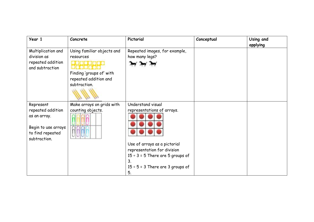| Year 1                                                                                                    | Concrete                                                                                                     | Pictorial                                                                                                                                                                                                    | Conceptual | Using and |
|-----------------------------------------------------------------------------------------------------------|--------------------------------------------------------------------------------------------------------------|--------------------------------------------------------------------------------------------------------------------------------------------------------------------------------------------------------------|------------|-----------|
| Multiplication and<br>division as<br>repeated addition<br>and subtraction                                 | Using familiar objects and<br>resources<br>Finding 'groups of' with<br>repeated addition and<br>subtraction. | Repeated images, for example,<br>how many legs?                                                                                                                                                              |            | applying  |
| Represent<br>repeated addition<br>as an array.<br>Begin to use arrays<br>to find repeated<br>subtraction. | Make arrays on grids with<br>counting objects.                                                               | Understand visual<br>representations of arrays.<br>Use of arrays as a pictorial<br>representation for division<br>$15 \div 3 = 5$ There are 5 groups of<br>3.<br>$15 \div 5 = 3$ There are 3 groups of<br>5. |            |           |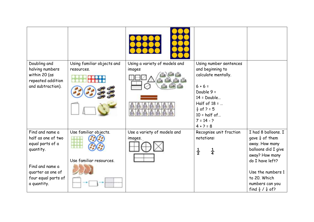| Doubling and                       | Using familiar objects and | Using a variety of models and | Using number sentences                          |                                        |
|------------------------------------|----------------------------|-------------------------------|-------------------------------------------------|----------------------------------------|
| halving numbers                    | resources.                 | images                        | and beginning to                                |                                        |
| within 20 (as<br>repeated addition |                            |                               | calculate mentally.                             |                                        |
| and subtraction).                  |                            |                               | $6 + 6 =$                                       |                                        |
|                                    |                            |                               | Double 9 =                                      |                                        |
|                                    |                            |                               | $14 = Double$                                   |                                        |
|                                    |                            |                               | Half of $18 = $                                 |                                        |
|                                    |                            |                               | $\frac{1}{2}$ of ? = 5<br>$10 = \text{half of}$ |                                        |
|                                    |                            |                               | $7 = 14 - ?$                                    |                                        |
|                                    |                            |                               | $4 + 2 = 8$                                     |                                        |
| Find and name a                    | Use familiar objects.      | Use a variety of models and   | Recognise unit fraction                         | I had 8 balloons. I                    |
| half as one of two                 |                            | images.                       | notations:                                      | gave $\frac{1}{4}$ of them             |
| equal parts of a                   |                            |                               |                                                 | away. How many                         |
| quantity.                          |                            |                               | $\frac{1}{2}$<br>$\frac{1}{4}$                  | balloons did I give                    |
|                                    |                            |                               |                                                 | away? How many                         |
|                                    | Use familiar resources.    |                               |                                                 | do I have left?                        |
| Find and name a                    |                            |                               |                                                 |                                        |
| quarter as one of                  |                            |                               |                                                 | Use the numbers 1<br>to 20. Which      |
| four equal parts of<br>a quantity. |                            |                               |                                                 | numbers can you                        |
|                                    |                            |                               |                                                 | find $\frac{1}{2}$ / $\frac{1}{4}$ of? |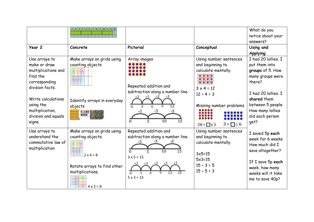| Year 2                                                                                                                                                                                      | $1$ $1$ $1$ $1$ $1$ $1$ $2$ $3$ $1$ $1$ $1$ $1$ $1$ $1$<br>Concrete                                                                        | Pictorial                                                                                           | Conceptual                                                                                                                                                                         | What do you<br>notice about your<br>answers?<br>Using and<br>Applying                                                                                                                            |
|---------------------------------------------------------------------------------------------------------------------------------------------------------------------------------------------|--------------------------------------------------------------------------------------------------------------------------------------------|-----------------------------------------------------------------------------------------------------|------------------------------------------------------------------------------------------------------------------------------------------------------------------------------------|--------------------------------------------------------------------------------------------------------------------------------------------------------------------------------------------------|
| Use arrays to<br>make or draw<br>multiplications and<br>find the<br>corresponding<br>division facts.<br>Write calculations<br>using the<br>multiplication,<br>division and equals<br>signs. | Make arrays on grids using<br>counting objects<br>Identify arrays in everyday<br>objects                                                   | Array images<br>Repeated addition and<br>subtraction along a number line.<br>$\Omega$               | Using number sentences<br>and beginning to<br>calculate mentally.<br>$3 \times 4 = 12$<br>$12 \div 4 = 3$<br>Missing number problems<br>$3 = \square \div 6$<br>$20 = \square x 5$ | I had 20 lollies. I<br>put them into<br>groups of 5. How<br>many groups were<br>there?<br>I had 20 lollies. I<br>shared them<br>between 5 people.<br>How many lollies<br>did each person<br>get? |
| Use arrays to<br>understand the<br>commutative law of<br>multiplication                                                                                                                     | Make arrays on grids using<br>counting objects.<br>$2 \times 4 = 8$<br>Rotate arrays to find other<br>multiplications.<br>$4 \times 2 = 8$ | Repeated addition and<br>subtraction along a number line.<br>$3 \times 5 = 15$<br>$5 \times 3 = 15$ | Using number sentences<br>and beginning to<br>calculate mentally.<br>$3x5=15$<br>$5x3=15$<br>$15 \div 3 = 5$<br>$15 \div 5 = 3$                                                    | I saved 5p each<br>week for 6 weeks.<br>How much did I<br>save altogether?<br>If I save 5p each<br>week, how many<br>weeks will it take<br>me to save 40p?                                       |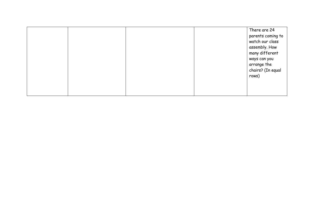|  |  | There are 24      |
|--|--|-------------------|
|  |  | parents coming to |
|  |  | watch our class   |
|  |  | assembly. How     |
|  |  | many different    |
|  |  | ways can you      |
|  |  | arrange the       |
|  |  | chairs? (In equal |
|  |  | rows)             |
|  |  |                   |
|  |  |                   |
|  |  |                   |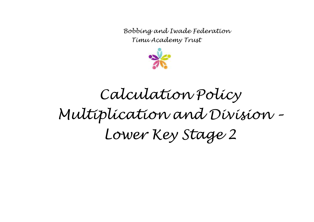

#### *Calculation Policy Multiplication and Division – Lower Key Stage 2*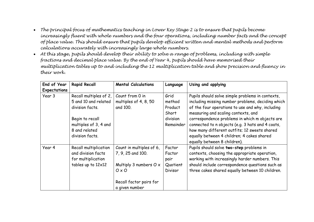- *The principal focus of mathematics teaching in Lower Key Stage 2 is to ensure that pupils become increasingly fluent with whole numbers and the four operations, including number facts and the concept of place value. This should ensure that pupils develop efficient written and mental methods and perform calculations accurately with increasingly large whole numbers.*
- *At this stage, pupils should develop their ability to solve a range of problems, including with simple fractions and decimal place value. By the end of Year 4, pupils should have memorised their multiplication tables up to and including the 12 multiplication table and show precision and fluency in their work.*

| End of Year         | <b>Rapid Recall</b>                                                                            | <b>Mental Calculations</b>                                                                                                                  | Language                                               | Using and applying                                                                                                                                                                                                                                |
|---------------------|------------------------------------------------------------------------------------------------|---------------------------------------------------------------------------------------------------------------------------------------------|--------------------------------------------------------|---------------------------------------------------------------------------------------------------------------------------------------------------------------------------------------------------------------------------------------------------|
| <b>Expectations</b> |                                                                                                |                                                                                                                                             |                                                        |                                                                                                                                                                                                                                                   |
| Year 3              | Recall multiples of 2,<br>5 and 10 and related<br>division facts.                              | Count from 0 in<br>multiples of 4, 8, 50<br>and 100.                                                                                        | Grid<br>method<br>Product<br>Short                     | Pupils should solve simple problems in contexts,<br>including missing number problems, deciding which<br>of the four operations to use and why, including<br>measuring and scaling contexts, and                                                  |
|                     | Begin to recall<br>multiples of 3, 4 and<br>8 and related<br>division facts.                   |                                                                                                                                             | division<br>Remainder                                  | correspondence problems in which m objects are<br>connected to n objects (e.g. 3 hats and 4 coats,<br>how many different outfits; 12 sweets shared<br>equally between 4 children; 4 cakes shared<br>equally between 8 children).                  |
| Year 4              | Recall multiplication<br>and division facts<br>for multiplication<br>tables up to $12\times12$ | Count in multiples of 6,<br>7, 9, 25 and 100.<br>Multiply 3 numbers $O \times$<br>$O \times O$<br>Recall factor pairs for<br>a given number | Factor<br>Factor<br>pair<br>Quotient<br><b>Divisor</b> | Pupils should solve two-step problems in<br>contexts, choosing the appropriate operation,<br>working with increasingly harder numbers. This<br>should include correspondence questions such as<br>three cakes shared equally between 10 children. |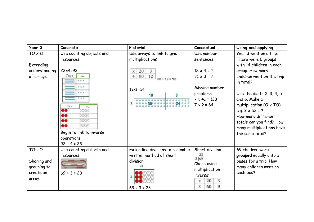| Year 3        | Concrete                               | Pictorial                       | Conceptual          | Using and applying                     |
|---------------|----------------------------------------|---------------------------------|---------------------|----------------------------------------|
| TO x O        | Use counting objects and               | Use arrays to link to grid      | Use number          | Year 3 went on a trip.                 |
|               | resources.                             | multiplications                 | sentences.          | There were 6 groups                    |
| Extending     |                                        |                                 |                     | with 14 children in each               |
| understanding | $23x4=92$                              | 20<br>3<br>$\mathbf X$          | $18 \times 4 = ?$   | group. How many                        |
| of arrays.    | Tens<br>Ones<br>$= 4$                  | 12<br>4 80<br>$80 + 12 = 92$    | $31 \times 3 = ?$   | children went on the trip<br>in total? |
|               | <b>NNN</b>                             | $18x3 = 54$                     | Missing number      |                                        |
|               |                                        |                                 | problems.           | Use the digits $2, 3, 4, 5$            |
|               | * * *                                  |                                 | $? \times 41 = 123$ | and 6. Make a                          |
|               | Tens<br>Ones                           |                                 | $7 \times ? = 84$   | multiplication $(O \times TO)$         |
|               | 80<br>- 000                            |                                 |                     | e.g. $2 \times 53 = ?$                 |
|               | 00<br>000                              |                                 |                     | How many different                     |
|               | 88<br>ගග<br>₿Õ<br>000                  |                                 |                     | totals can you find? How               |
|               |                                        |                                 |                     | many multiplications have              |
|               | Begin to link to inverse<br>operations |                                 |                     | the same total?                        |
|               | $92 \div 4 = 23$                       |                                 |                     |                                        |
| $TO \div O$   | Use counting objects and               | Extending divisions to resemble | Short division      | 69 children were                       |
|               | resources.                             | written method of short         | 23                  | grouped equally onto 3                 |
| Sharing and   |                                        | division.                       | 3 69                | buses for a trip. How                  |
| grouping to   |                                        |                                 | Check using         | many children went on                  |
| create an     | $69 \div 3 = 23$                       |                                 | multiplication      | each bus?                              |
| array.        |                                        |                                 | inverse:            |                                        |
|               |                                        |                                 | 3<br>20<br>x        |                                        |
|               |                                        | $69 \div 3 = 23$                | 9<br>3<br>60        |                                        |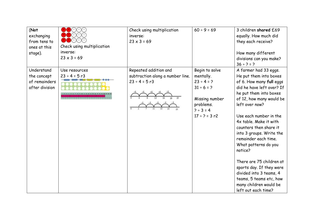| (Not<br>exchanging<br>from tens to<br>ones at this<br>stage). | $(\cdot)(\cdot)(\cdot)$<br>Check using multiplication<br>inverse:<br>$23 \times 3 = 69$ | Check using multiplication<br>inverse:<br>$23 \times 3 = 69$                    | $60 \div 9 = 69$                                                                                                                      | 3 children shared £69<br>equally. How much did<br>they each receive?<br>How many different<br>divisions can you make?<br>$36 ÷ ? = ?$                                                                                                                                                                                                                                                                                                                                                                                |
|---------------------------------------------------------------|-----------------------------------------------------------------------------------------|---------------------------------------------------------------------------------|---------------------------------------------------------------------------------------------------------------------------------------|----------------------------------------------------------------------------------------------------------------------------------------------------------------------------------------------------------------------------------------------------------------------------------------------------------------------------------------------------------------------------------------------------------------------------------------------------------------------------------------------------------------------|
| Understand<br>the concept<br>of remainders<br>after division  | Use resources<br>$23 \div 4 = 5$ r3                                                     | Repeated addition and<br>subtraction along a number line.<br>$23 \div 4 = 5$ r3 | Begin to solve<br>mentally.<br>$23 \div 4 = ?$<br>$31 \div 6 = ?$<br>Missing number<br>problems.<br>$7 ÷ 3 = 4$<br>$17 \div 2 = 3 r2$ | A farmer had 33 eggs.<br>He put them into boxes<br>of 6. How many full eggs<br>did he have left over? If<br>he put them into boxes<br>of 12, how many would be<br>left over now?<br>Use each number in the<br>4x table. Make it with<br>counters then share it<br>into 3 groups. Write the<br>remainder each time.<br>What patterns do you<br>notice?<br>There are 75 children at<br>sports day. If they were<br>divided into 3 teams, 4<br>teams, 5 teams etc, how<br>many children would be<br>left out each time? |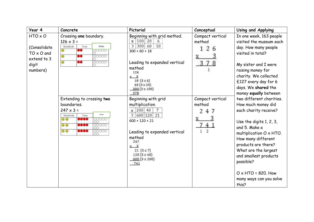| Year 4                                                                           | Concrete                                                                                                                                                                     | Pictorial                                                                                                                                                                                                                            | Conceptual                                         | Using and Applying                                                                                                                                                                                                                                                                                                            |
|----------------------------------------------------------------------------------|------------------------------------------------------------------------------------------------------------------------------------------------------------------------------|--------------------------------------------------------------------------------------------------------------------------------------------------------------------------------------------------------------------------------------|----------------------------------------------------|-------------------------------------------------------------------------------------------------------------------------------------------------------------------------------------------------------------------------------------------------------------------------------------------------------------------------------|
| HTO x O<br>(Consolidate<br>$TO \times O$ and<br>extend to 3<br>digit<br>numbers) | Crossing one boundary.<br>$126 \times 3 =$<br>Hundreds<br>Tone<br>Ones<br>88<br>$\bullet$<br>10000<br>66<br>$\Theta$<br>00000<br>96<br>00000<br>$\overline{\mathbf{e}}$      | Beginning with grid method.<br> 100 <br>20<br>x<br>6<br>300<br>3<br>18<br>60<br>$300 + 60 + 18$<br>Leading to expanded vertical<br>method<br>126<br>$-3$<br>18(3×6)<br>60 (3 x 20)<br>300 (3 x 100)<br>378                           | Compact vertical<br>method<br>2<br>37              | In one week, 163 people<br>visited the museum each<br>day. How many people<br>visited in total?<br>My sister and I were<br>raising money for<br>charity. We collected<br>£127 every day for 6<br>days. We shared the<br>money equally between                                                                                 |
|                                                                                  | Extending to crossing two<br>boundaries.<br>$247 \times 3 =$<br>Ones<br>Hundreds<br>Tens<br>0999<br>$\circ$<br>00000<br>0960<br>$\circ$<br>10000<br>0000<br>$\circ$<br>00000 | Beginning with grid<br>multiplication.<br>x   200   40<br>$7\overline{ }$<br>3 600 120 21<br>$600 + 120 + 21$<br>Leading to expanded vertical<br>method<br>247<br>- 3<br>21(3x7)<br>$120(3 \times 40)$<br>$600(3 \times 200)$<br>741 | Compact vertical<br>method<br>2.<br>47<br>74<br>ğ. | two different charities.<br>How much money did<br>each charity receive?<br>Use the digits $1, 2, 3$ ,<br>and 5. Make a<br>multiplication O x HTO.<br>How many different<br>products are there?<br>What are the largest<br>and smallest products<br>possible?<br>$O \times$ HTO = 820. How<br>many ways can you solve<br>this? |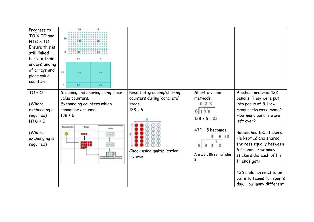| Progress to<br>TO X TO and<br>HTO x TO.<br>Ensure this is<br>still linked<br>back to their<br>understanding<br>of arrays and<br>place value<br>counters. | 10<br>$100 -$<br>10<br>10<br>100<br>80<br>$\overline{\phantom{a}}$<br>30<br>24                                     |                                                                  |                                                                                                            |                                                                                                                                                                                                                                                                                                                             |
|----------------------------------------------------------------------------------------------------------------------------------------------------------|--------------------------------------------------------------------------------------------------------------------|------------------------------------------------------------------|------------------------------------------------------------------------------------------------------------|-----------------------------------------------------------------------------------------------------------------------------------------------------------------------------------------------------------------------------------------------------------------------------------------------------------------------------|
| $TO + O$                                                                                                                                                 | Grouping and sharing using place<br>value counters.                                                                | Result of grouping/sharing<br>counters during 'concrete'         | Short division<br>methods.                                                                                 | A school ordered 432<br>pencils. They were put                                                                                                                                                                                                                                                                              |
| (Where<br>exchanging is<br>required)<br>$HTO \div O$<br>(Where<br>exchanging is<br>required)                                                             | Exchanging counters which<br>cannot be grouped.<br>$138 \div 6$<br><b>Hundreds</b><br>Tens<br>Ones<br>88<br><br>88 | stage.<br>$138 \div 6$<br>Check using multiplication<br>inverse. | 023<br>6 138<br>$138 \div 6 = 23$<br>$432 \div 5$ becomes:<br>r2<br>Answer: 86 remainder<br>$\overline{2}$ | into packs of 5. How<br>many packs were made?<br>How many pencils were<br>left over?<br>Robbie has 150 stickers.<br>He kept 12 and shared<br>the rest equally between<br>6 friends. How many<br>stickers did each of his<br>friends get?<br>436 children need to be<br>put into teams for sports<br>day. How many different |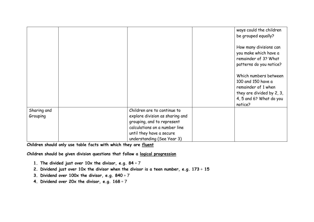|                         |                                                                | ways could the children<br>be grouped equally?                                                                                        |
|-------------------------|----------------------------------------------------------------|---------------------------------------------------------------------------------------------------------------------------------------|
|                         |                                                                | How many divisions can<br>you make which have a<br>remainder of 3? What<br>patterns do you notice?                                    |
|                         |                                                                | Which numbers between<br>100 and 150 have a<br>remainder of 1 when<br>they are divided by 2, 3,<br>4, 5 and 6? What do you<br>notice? |
| Sharing and<br>Grouping | Children are to continue to<br>explore division as sharing and |                                                                                                                                       |
|                         | grouping, and to represent                                     |                                                                                                                                       |
|                         | calculations on a number line                                  |                                                                                                                                       |
|                         | until they have a secure                                       |                                                                                                                                       |
|                         | understanding (See Year 3)                                     |                                                                                                                                       |

**Children should only use table facts with which they are fluent**

**Children should be given division questions that follow a logical progression**

- **1. The divided just over 10x the divisor, e.g. 84** ÷ 7
- **2. Dividend just over 10x the divisor when the divisor is a teen number, e.g. 173** ÷ **15**
- **3. Dividend over 100x the divisor, e.g. 840** ÷ 7
- **4. Dividend over 20x the divisor, e.g. 168** ÷ 7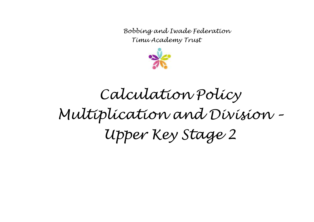

# *Calculation Policy Multiplication and Division – Upper Key Stage 2*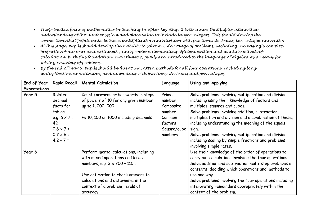- *The principal focus of mathematics in teaching in upper key stage 2 is to ensure that pupils extend their understanding of the number system and place value to include larger integers. This should develop the connections that pupils make between multiplication and division with fractions, decimals, percentages and ratio.*
- *At this stage, pupils should develop their ability to solve a wider range of problems, including increasingly complex properties of numbers and arithmetic, and problems demanding efficient written and mental methods of calculation. With this foundation in arithmetic, pupils are introduced to the language of algebra as a means for solving a variety of problems.*

| End of Year  | <b>Rapid Recall</b>                                                                                                               | <b>Mental Calculation</b>                                                                                                                                                                                                                     | Language                                                                              | Using and Applying                                                                                                                                                                                                                                                                                                                                                                                                                                            |
|--------------|-----------------------------------------------------------------------------------------------------------------------------------|-----------------------------------------------------------------------------------------------------------------------------------------------------------------------------------------------------------------------------------------------|---------------------------------------------------------------------------------------|---------------------------------------------------------------------------------------------------------------------------------------------------------------------------------------------------------------------------------------------------------------------------------------------------------------------------------------------------------------------------------------------------------------------------------------------------------------|
| Expectations |                                                                                                                                   |                                                                                                                                                                                                                                               |                                                                                       |                                                                                                                                                                                                                                                                                                                                                                                                                                                               |
| Year 5       | Related<br>decimal<br>facts for<br>tables.<br>e.g. $6 \times 7 =$<br>42<br>$0.6 \times 7 =$<br>$0.7 \times 6 =$<br>$4.2 \div 7 =$ | Count forwards or backwards in steps<br>of powers of 10 for any given number<br>up to 1, 000, 000<br>$\div$ x 10, 100 or 1000 including decimals                                                                                              | Prime<br>number<br>Composite<br>number<br>Common<br>factors<br>Square/cube<br>numbers | Solve problems involving multiplication and division<br>including using their knowledge of factors and<br>multiples, squares and cubes.<br>Solve problems involving addition, subtraction,<br>multiplication and division and a combination of these,<br>including understanding the meaning of the equals<br>sign.<br>Solve problems involving multiplication and division,<br>including scaling by simple fractions and problems<br>involving simple rates. |
| Year 6       |                                                                                                                                   | Perform mental calculations, including<br>with mixed operations and large<br>numbers, e.g. $3 \times 700 + 115 =$<br>Use estimation to check answers to<br>calculations and determine, in the<br>context of a problem, levels of<br>accuracy. |                                                                                       | Use their knowledge of the order of operations to<br>carry out calculations involving the four operations.<br>Solve addition and subtraction multi-step problems in<br>contexts, deciding which operations and methods to<br>use and why.<br>Solve problems involving the four operations including<br>interpreting remainders appropriately within the<br>context of the problem.                                                                            |

• *By the end of Year 6, pupils should be fluent in written methods for all four operations, including long multiplication and division, and in working with fractions, decimals and percentages*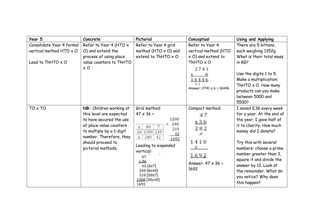| Year 5                                                                                  | Concrete                                                                                                                                                                                                   | Pictorial                                                                                                                                                                                                                                                           | Conceptual                                                                                                                                          | Using and Applying                                                                                                                                                                                                                                                                                                                     |
|-----------------------------------------------------------------------------------------|------------------------------------------------------------------------------------------------------------------------------------------------------------------------------------------------------------|---------------------------------------------------------------------------------------------------------------------------------------------------------------------------------------------------------------------------------------------------------------------|-----------------------------------------------------------------------------------------------------------------------------------------------------|----------------------------------------------------------------------------------------------------------------------------------------------------------------------------------------------------------------------------------------------------------------------------------------------------------------------------------------|
| Consolidate Year 4 formal<br>vertical method HTO $\times$ O<br>Lead to ThHTO $\times$ O | Refer to Year 4 (HTO $\times$<br>O) and extend the<br>process of using place<br>value counters to ThHTO<br>$\times$ O                                                                                      | Refer to Year 4 grid<br>method (HTO $\times$ O) and<br>extend to ThHTO $\times$ O                                                                                                                                                                                   | Refer to Year 4<br>vertical method (HTO<br>$\times$ O) and extend to<br>ThHTO $\times$ O<br>2741<br>16446<br>4.2<br>Answer: $2741 \times 6 = 16446$ | There are 5 kittens,<br>each weighing 1352g.<br>What is their total mass<br>in KG?<br>Use the digits 1 to 5.<br>Make a multiplication:<br>ThHTO $\times$ O. How many<br>products can you make<br>between 5000 and<br>5500?                                                                                                             |
| TO x TO                                                                                 | NB: Children working at<br>this level are expected<br>to have secured the use<br>of place value counters<br>to multiply by a 1-digit<br>number. Therefore, they<br>should proceed to<br>pictorial methods. | Grid method:<br>$47 \times 36 =$<br>1200<br>240<br>$\overline{7}$<br>40<br>$\mathbf x$<br>210<br>1200 210<br>30<br>$-42$<br>240<br>6<br>42<br>1692<br>Leading to expanded<br>vertical:<br>47<br>x 36<br>42(6x7)<br>240 (6x40)<br>210 (30x7)<br>1200 (30x40)<br>1692 | Compact method:<br>x36<br>282<br>1410<br>1692<br>Answer: $47 \times 36 =$<br>1692                                                                   | I saved £36 every week<br>for a year. At the end of<br>the year, I gave half of<br>it to charity. How much<br>money did I donate?<br>Try this with several<br>numbers: choose a prime<br>number greater than 3,<br>square it and divide the<br>answer by 12. Look at<br>the remainder. What do<br>you notice? Why does<br>this happen? |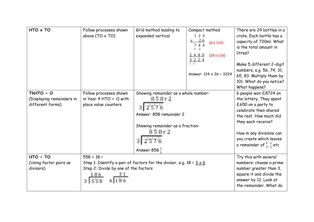| $HTO \times TO$                                                 | Follow processes shown<br>above $(TO \times TO)$                              | Grid method leading to<br>expanded vertical                                                                                                       | Compact method<br>124<br>x 26<br>$(6 \times 124)$<br>2480<br>$(20 \times 124)$<br>3224<br>Answer: $124 \times 26 = 3224$ | There are 24 bottles in a<br>crate. Each bottle has a<br>capacity of 720ml. What<br>is the total amount in<br>litres?<br>Make 5 different 2-digit<br>numbers, e.g. 56, 74, 31,<br>65, 83. Multiply them by<br>101. What do you notice?<br>What happens?   |
|-----------------------------------------------------------------|-------------------------------------------------------------------------------|---------------------------------------------------------------------------------------------------------------------------------------------------|--------------------------------------------------------------------------------------------------------------------------|-----------------------------------------------------------------------------------------------------------------------------------------------------------------------------------------------------------------------------------------------------------|
| $ThHTO \div O$<br>(Displaying remainders in<br>different forms) | Follow processes shown<br>in Year 4 HTO $\div$ O with<br>place value counters | Showing remainder as a whole number:<br>858r2<br>Answer: 858 remainder 2<br>Showing remainder as a fraction:<br>858r2<br>Answer 858 $\frac{2}{3}$ |                                                                                                                          | 6 people won £8724 on<br>the lottery. They spent<br>£650 on a party to<br>celebrate then shared<br>the rest. How much did<br>they each receive?<br>How m any divisions can<br>you create which leaves<br>a remainder of $\frac{4}{5}$ , $\frac{2}{3}$ etc |
| $HTO \div TO$<br>(Using factor pairs as<br>divisors)            | $558 \div 18 =$<br>Step 2: Divide by one of the factors                       | Step 1: Identify a pair of factors for the divisor, e.g. $18 = 3 \times 6$                                                                        |                                                                                                                          | Try this with several<br>numbers: choose a prime<br>number greater than 3,<br>square it and divide the<br>answer by 12. Look at<br>the remainder. What do                                                                                                 |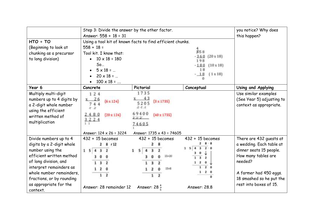|                                        | Step 3: Divide the answer by the other factor.<br>Answer: $558 \div 18 = 31$ |                                                           |                                                      | you notice? Why does<br>this happen? |
|----------------------------------------|------------------------------------------------------------------------------|-----------------------------------------------------------|------------------------------------------------------|--------------------------------------|
| $HTO \div TO$<br>(Beginning to look at | $558 \div 18 =$                                                              | Using a tool kit of known facts to find efficient chunks. |                                                      |                                      |
| chunking as a precursor                | Tool kit. I know that:                                                       |                                                           | \$15B                                                |                                      |
| to long division)                      | $10 \times 18 = 180$                                                         |                                                           | $-360$ (20 x 18)                                     |                                      |
|                                        | So                                                                           |                                                           | 198<br>$-180$ $(10 \times 18)$                       |                                      |
|                                        | $5 \times 18 = $                                                             |                                                           | 18                                                   |                                      |
|                                        | $20 \times 18 = $                                                            |                                                           | $-18$<br>$(1 \times 18)$                             |                                      |
|                                        | $100 \times 18 = $                                                           |                                                           |                                                      |                                      |
| Year 6                                 | Concrete                                                                     | Pictorial                                                 | Conceptual                                           | Using and Applying                   |
| Multiply multi-digit                   | 124                                                                          | 1735                                                      |                                                      | Use similar examples                 |
| numbers up to 4 digits by              | $x = 26$<br>$(6 \times 124)$                                                 | 43<br>$(3 \times 1735)$                                   |                                                      | (See Year 5) adjusting to            |
| a 2-digit whole number                 |                                                                              | 5205<br>ネイオ                                               |                                                      | context as appropriate.              |
| using the efficient                    |                                                                              | 69400                                                     |                                                      |                                      |
| written method of                      | 2480<br>$(20 \times 124)$<br>3224                                            | $(40 \times 1735)$                                        |                                                      |                                      |
| multiplication                         |                                                                              | 74605                                                     |                                                      |                                      |
|                                        |                                                                              |                                                           |                                                      |                                      |
|                                        | Answer: $124 \times 26 = 3224$                                               | Answer: $1735 \times 43 = 74605$                          |                                                      |                                      |
| Divide numbers up to 4                 | $432 \div 15$ becomes                                                        | $432 \div 15$ becomes                                     | $432 \div 15$ becomes                                | There are 432 guests at              |
| digits by a 2-digit whole              | 8r12                                                                         |                                                           | $\overline{\mathbf{3}}$<br>5 <sub>4</sub><br>$2 - 0$ | a wedding. Each table at             |
| number using the                       | 1<br>5                                                                       | s                                                         |                                                      | dinner seats 15 people.              |
| efficient written method               |                                                                              | 15×20                                                     |                                                      | How many tables are                  |
| of long division, and                  |                                                                              |                                                           |                                                      | needed?                              |
| interpret remainders as                |                                                                              | 25 <sub>1</sub>                                           | $\mathbf{z}$                                         |                                      |
| whole number remainders,               |                                                                              |                                                           | $\mathbf{z}$                                         | A farmer had 450 eggs.               |
| fractions, or by rounding              |                                                                              |                                                           |                                                      | 18 smashed so he put the             |
| as appropriate for the<br>context.     | Answer: 28 remainder 12                                                      | Answer: $28\frac{4}{5}$                                   | Answer: 28.8                                         | rest into boxes of 15.               |